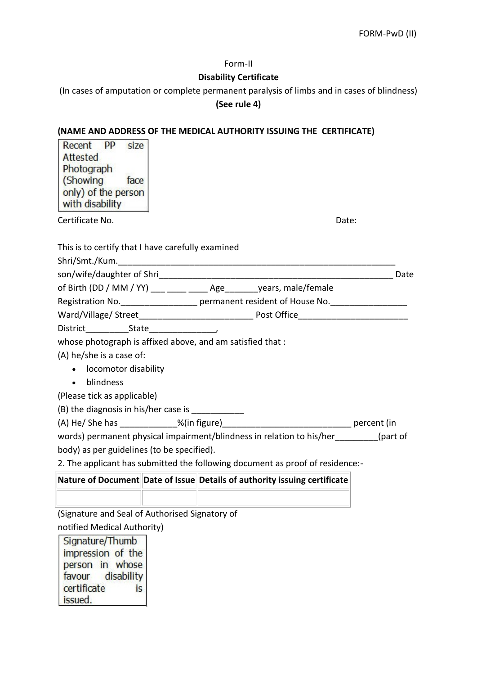#### Form-II

### **Disability Certificate**

(In cases of amputation or complete permanent paralysis of limbs and in cases of blindness)

### **(See rule 4)**

## **(NAME AND ADDRESS OF THE MEDICAL AUTHORITY ISSUING THE CERTIFICATE)**

| Recent PP<br>size<br>Attested<br>Photograph<br>(Showing)<br>face<br>only) of the person<br>with disability |  |
|------------------------------------------------------------------------------------------------------------|--|
| Certificate No.<br>Date:                                                                                   |  |
| This is to certify that I have carefully examined                                                          |  |
|                                                                                                            |  |
|                                                                                                            |  |
| of Birth (DD / MM / YY) ___ ____ _____ Age _______ years, male/female                                      |  |
| Registration No. 1990 permanent resident of House No. 1990 Permanent resident of House No.                 |  |
|                                                                                                            |  |
|                                                                                                            |  |
| whose photograph is affixed above, and am satisfied that:                                                  |  |
| (A) he/she is a case of:                                                                                   |  |
| • locomotor disability                                                                                     |  |
| blindness<br>$\bullet$                                                                                     |  |
| (Please tick as applicable)                                                                                |  |
| (B) the diagnosis in his/her case is ___________                                                           |  |
|                                                                                                            |  |
| words) permanent physical impairment/blindness in relation to his/her (part of                             |  |
| body) as per guidelines (to be specified).                                                                 |  |
| 2. The applicant has submitted the following document as proof of residence:-                              |  |
| Nature of Document Date of Issue Details of authority issuing certificate                                  |  |
|                                                                                                            |  |
| (Signature and Seal of Authorised Signatory of                                                             |  |
| notified Medical Authority)                                                                                |  |
| Signature/Thumb                                                                                            |  |
| impression of the                                                                                          |  |
| person in whose<br>disability<br>favour                                                                    |  |

certificate

issued.

is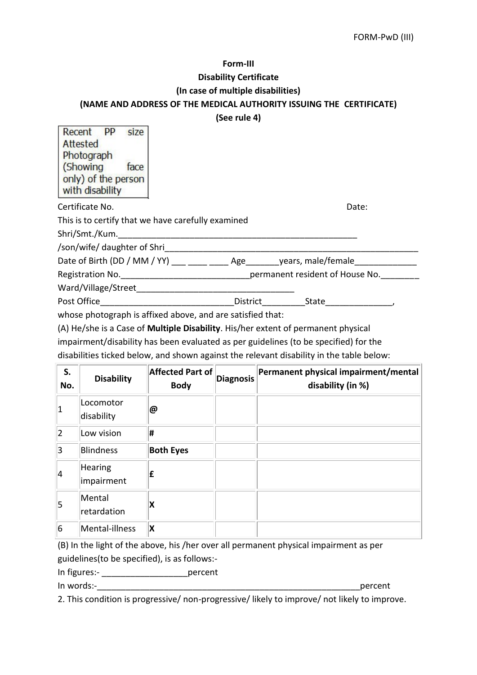#### **Form-III**

### **Disability Certificate**

#### **(In case of multiple disabilities)**

### **(NAME AND ADDRESS OF THE MEDICAL AUTHORITY ISSUING THE CERTIFICATE)**

**(See rule 4)**

| <b>PP</b><br>Recent<br>size<br>Attested<br>Photograph<br>(Showing)<br>face<br>only) of the person |          |       |       |
|---------------------------------------------------------------------------------------------------|----------|-------|-------|
| with disability                                                                                   |          |       |       |
| Certificate No.                                                                                   |          |       | Date: |
| This is to certify that we have carefully examined                                                |          |       |       |
| Shri/Smt./Kum.                                                                                    |          |       |       |
| /son/wife/ daughter of Shri                                                                       |          |       |       |
| Date of Birth (DD / MM / YY) Age years, male/female                                               |          |       |       |
| Registration No. The same of the set of the permanent resident of House No.                       |          |       |       |
| Ward/Village/Street                                                                               |          |       |       |
| Post Office                                                                                       | District | State |       |
| whose photograph is affixed above, and are satisfied that:                                        |          |       |       |

ose photograph is affixed above, and are satisfied that

(A) He/she is a Case of **Multiple Disability**. His/her extent of permanent physical impairment/disability has been evaluated as per guidelines (to be specified) for the disabilities ticked below, and shown against the relevant disability in the table below:

| S.<br>No. | <b>Disability</b>       | <b>Affected Part of</b><br><b>Body</b> | <b>Diagnosis</b> | Permanent physical impairment/mental<br>disability (in %) |
|-----------|-------------------------|----------------------------------------|------------------|-----------------------------------------------------------|
| $\vert$ 1 | Locomotor<br>disability | @                                      |                  |                                                           |
| 2         | Low vision              | #                                      |                  |                                                           |
| 3         | <b>Blindness</b>        | <b>Both Eyes</b>                       |                  |                                                           |
| 4         | Hearing<br>impairment   | £                                      |                  |                                                           |
| $\vert$ 5 | Mental<br>retardation   | X                                      |                  |                                                           |
| 6         | Mental-illness          | X                                      |                  |                                                           |

(B) In the light of the above, his /her over all permanent physical impairment as per guidelines(to be specified), is as follows:-

In figures:- \_\_\_\_\_\_\_\_\_\_\_\_\_\_\_\_\_\_percent

In words:-

2. This condition is progressive/ non-progressive/ likely to improve/ not likely to improve.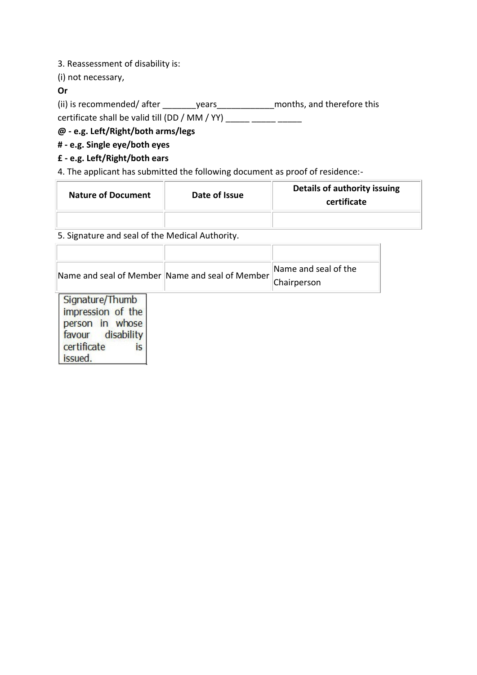3. Reassessment of disability is:

(i) not necessary,

### **Or**

(ii) is recommended/ after \_\_\_\_\_\_\_\_\_years\_\_\_\_\_\_\_\_\_\_\_\_\_\_\_\_months, and therefore this certificate shall be valid till (DD / MM / YY)  $\frac{1}{\sqrt{1-\frac{1}{2}}\cdot\frac{1}{\sqrt{1-\frac{1}{2}}\cdot\frac{1}{\sqrt{1-\frac{1}{2}}\cdot\frac{1}{\sqrt{1-\frac{1}{2}}\cdot\frac{1}{\sqrt{1-\frac{1}{2}}\cdot\frac{1}{\sqrt{1-\frac{1}{2}}\cdot\frac{1}{\sqrt{1-\frac{1}{2}}\cdot\frac{1}{\sqrt{1-\frac{1}{2}}\cdot\frac{1}{\sqrt{1-\frac{1}{2}}\cdot\frac{1}{\sqrt{1-\frac$ 

# **@ - e.g. Left/Right/both arms/legs**

### **# - e.g. Single eye/both eyes**

## **£ - e.g. Left/Right/both ears**

4. The applicant has submitted the following document as proof of residence:-

| <b>Nature of Document</b> | Date of Issue | Details of authority issuing<br>certificate |
|---------------------------|---------------|---------------------------------------------|
|                           |               |                                             |

# 5. Signature and seal of the Medical Authority.

| Name and seal of Member Name and seal of Member                                                             | Name and seal of the<br>Chairperson |
|-------------------------------------------------------------------------------------------------------------|-------------------------------------|
| Signature/Thumb<br>impression of the<br>person in whose<br>favour disability<br>certificate<br>is<br>issued |                                     |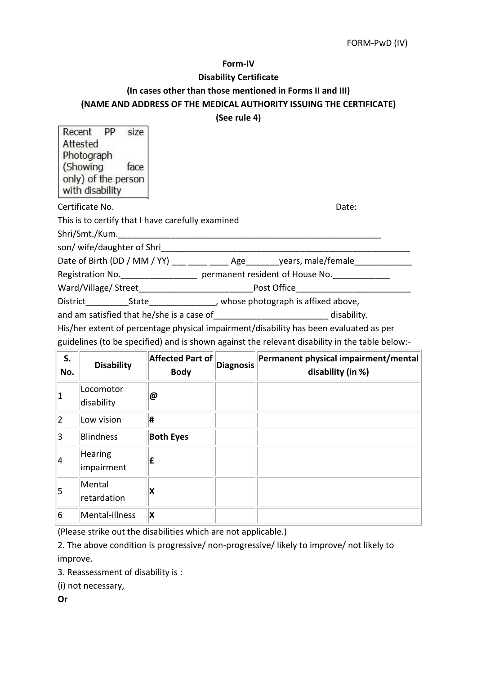#### FORM-PwD (IV)

#### **Form-IV**

#### **Disability Certificate**

#### **(In cases other than those mentioned in Forms II and III)**

### **(NAME AND ADDRESS OF THE MEDICAL AUTHORITY ISSUING THE CERTIFICATE)**

#### **(See rule 4)**

Recent **PP** size Attested Photograph (Showing) face only) of the person with disability

Certificate No. Date:

This is to certify that I have carefully examined

Shri/Smt./Kum.

son/ wife/daughter of Shri

Date of Birth (DD / MM / YY) \_\_\_ \_\_\_\_ \_\_\_\_ Age\_\_\_\_\_\_\_years, male/female\_\_\_\_\_\_\_\_\_

Registration No. \_\_\_\_\_\_\_\_\_\_\_\_\_\_\_\_\_\_\_\_\_\_\_ permanent resident of House No. \_\_\_\_\_\_\_\_\_\_\_\_\_ Ward/Village/ Street\_\_\_\_\_\_\_\_\_\_\_\_\_\_\_\_\_\_\_\_\_\_\_\_Post Office\_\_\_\_\_\_\_\_\_\_\_\_\_\_\_\_\_\_\_\_\_\_\_\_

District State State All the State bistrict bistrict State above,

and am satisfied that he/she is a case of disability.

His/her extent of percentage physical impairment/disability has been evaluated as per guidelines (to be specified) and is shown against the relevant disability in the table below:-

| S.<br>No.      | <b>Disability</b>       | Affected Part of<br><b>Body</b> | <b>Diagnosis</b> | Permanent physical impairment/mental<br>disability (in %) |
|----------------|-------------------------|---------------------------------|------------------|-----------------------------------------------------------|
| $\vert$ 1      | Locomotor<br>disability | @                               |                  |                                                           |
| $\overline{2}$ | Low vision              | Ħ                               |                  |                                                           |
| 3              | <b>Blindness</b>        | <b>Both Eyes</b>                |                  |                                                           |
| 4              | Hearing<br>impairment   | Ι£                              |                  |                                                           |
| $\vert$ 5      | Mental<br>retardation   | X                               |                  |                                                           |
| 6              | Mental-illness          | X                               |                  |                                                           |

(Please strike out the disabilities which are not applicable.)

2. The above condition is progressive/ non-progressive/ likely to improve/ not likely to improve.

3. Reassessment of disability is :

(i) not necessary,

**Or**